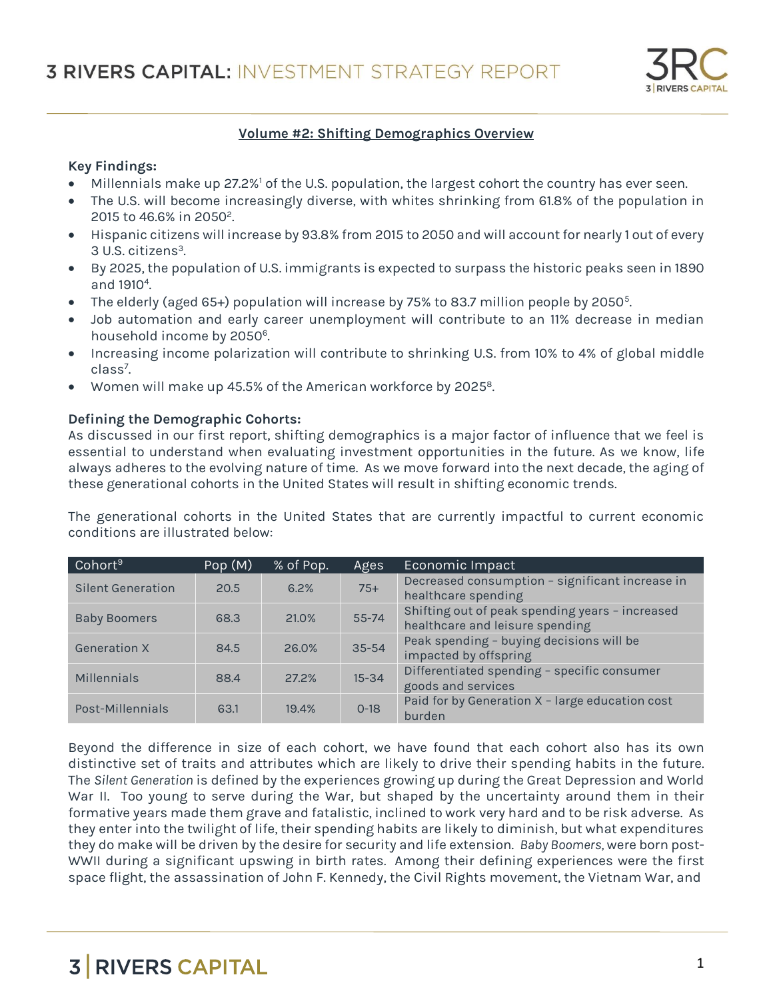

### **Volume #2: Shifting Demographics Overview**

### **Key Findings:**

- Millennials make up 27.2%<sup>1</sup> of the U.S. population, the largest cohort the country has ever seen.
- The U.S. will become increasingly diverse, with whites shrinking from 61.8% of the population in 2015 to 46.6% in 2050<sup>2</sup> .
- Hispanic citizens will increase by 93.8% from 2015 to 2050 and will account for nearly 1 out of every 3 U.S. citizens<sup>3</sup>. .
- By 2025, the population of U.S. immigrants is expected to surpass the historic peaks seen in 1890 and 1910<sup>4</sup>. .
- $\bullet$  The elderly (aged 65+) population will increase by 75% to 83.7 million people by 2050 $^5$ .
- Job automation and early career unemployment will contribute to an 11% decrease in median household income by 2050<sup>6</sup>.
- Increasing income polarization will contribute to shrinking U.S. from 10% to 4% of global middle class<sup>7</sup>. .
- Women will make up 45.5% of the American workforce by 2025<sup>8</sup>. .

### **Defining the Demographic Cohorts:**

As discussed in our first report, shifting demographics is a major factor of influence that we feel is essential to understand when evaluating investment opportunities in the future. As we know, life always adheres to the evolving nature of time. As we move forward into the next decade, the aging of these generational cohorts in the United States will result in shifting economic trends.

The generational cohorts in the United States that are currently impactful to current economic conditions are illustrated below:

| Cohort <sup>9</sup> | Pop(M) | % of Pop. | Ages      | Economic Impact                                                                    |
|---------------------|--------|-----------|-----------|------------------------------------------------------------------------------------|
| Silent Generation   | 20.5   | 6.2%      | $75+$     | Decreased consumption - significant increase in<br>healthcare spending             |
| <b>Baby Boomers</b> | 68.3   | 21.0%     | $55 - 74$ | Shifting out of peak spending years - increased<br>healthcare and leisure spending |
| <b>Generation X</b> | 84.5   | 26.0%     | $35 - 54$ | Peak spending - buying decisions will be<br>impacted by offspring                  |
| Millennials         | 88.4   | 27.2%     | $15 - 34$ | Differentiated spending - specific consumer<br>goods and services                  |
| Post-Millennials    | 63.1   | 19.4%     | $0 - 18$  | Paid for by Generation X - large education cost<br>burden                          |

Beyond the difference in size of each cohort, we have found that each cohort also has its own distinctive set of traits and attributes which are likely to drive their spending habits in the future. The *Silent Generation* is defined by the experiences growing up during the Great Depression and World War II. Too young to serve during the War, but shaped by the uncertainty around them in their formative years made them grave and fatalistic, inclined to work very hard and to be risk adverse. As they enter into the twilight of life, their spending habits are likely to diminish, but what expenditures they do make will be driven by the desire for security and life extension. *Baby Boomers,* were born post-WWII during a significant upswing in birth rates*.* Among their defining experiences were the first space flight, the assassination of John F. Kennedy, the Civil Rights movement, the Vietnam War, and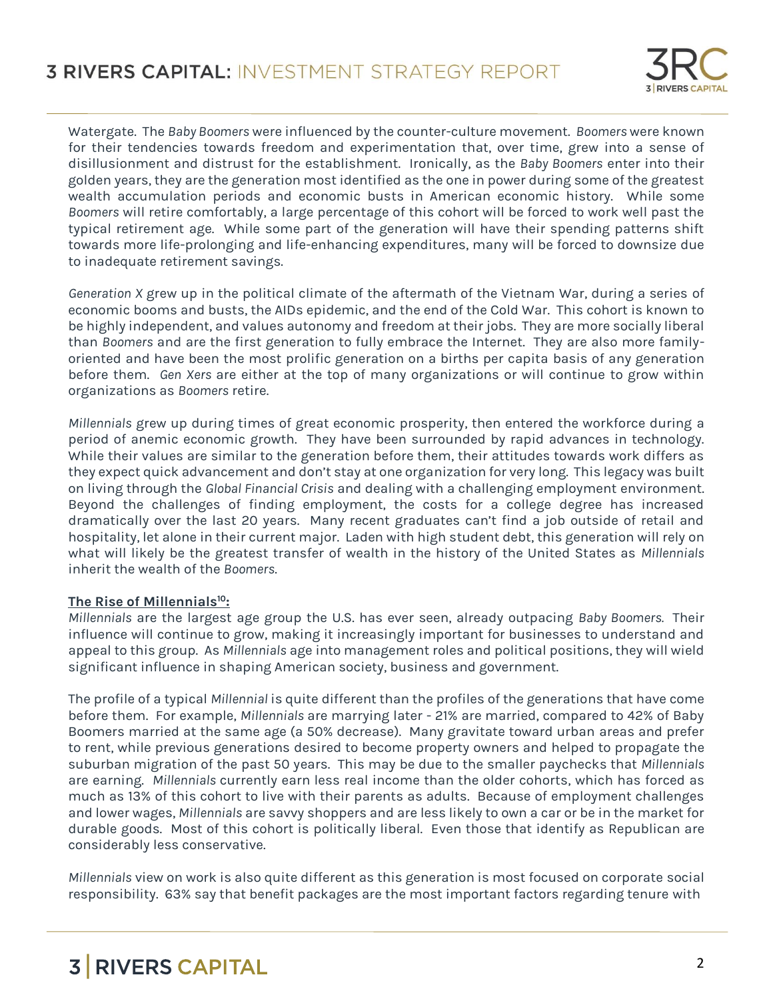

Watergate. The *Baby Boomers* were influenced by the counter-culture movement. *Boomers* were known for their tendencies towards freedom and experimentation that, over time, grew into a sense of disillusionment and distrust for the establishment. Ironically, as the *Baby Boomers* enter into their golden years, they are the generation most identified as the one in power during some of the greatest wealth accumulation periods and economic busts in American economic history. While some *Boomers* will retire comfortably, a large percentage of this cohort will be forced to work well past the typical retirement age. While some part of the generation will have their spending patterns shift towards more life-prolonging and life-enhancing expenditures, many will be forced to downsize due to inadequate retirement savings.

*Generation X* grew up in the political climate of the aftermath of the Vietnam War, during a series of economic booms and busts, the AIDs epidemic, and the end of the Cold War. This cohort is known to be highly independent, and values autonomy and freedom at their jobs. They are more socially liberal than *Boomers* and are the first generation to fully embrace the Internet. They are also more familyoriented and have been the most prolific generation on a births per capita basis of any generation before them. *Gen Xers* are either at the top of many organizations or will continue to grow within organizations as *Boomers* retire.

*Millennials* grew up during times of great economic prosperity, then entered the workforce during a period of anemic economic growth. They have been surrounded by rapid advances in technology. While their values are similar to the generation before them, their attitudes towards work differs as they expect quick advancement and don't stay at one organization for very long. This legacy was built on living through the *Global Financial Crisis* and dealing with a challenging employment environment. Beyond the challenges of finding employment, the costs for a college degree has increased dramatically over the last 20 years. Many recent graduates can't find a job outside of retail and hospitality, let alone in their current major. Laden with high student debt, this generation will rely on what will likely be the greatest transfer of wealth in the history of the United States as *Millennials* inherit the wealth of the *Boomers*.

### **The Rise of Millennials<sup>10</sup>:**

*Millennials* are the largest age group the U.S. has ever seen, already outpacing *Baby Boomers.* Their influence will continue to grow, making it increasingly important for businesses to understand and appeal to this group. As *Millennials* age into management roles and political positions, they will wield significant influence in shaping American society, business and government.

The profile of a typical *Millennial* is quite different than the profiles of the generations that have come before them. For example, *Millennials* are marrying later - 21% are married, compared to 42% of Baby Boomers married at the same age (a 50% decrease). Many gravitate toward urban areas and prefer to rent, while previous generations desired to become property owners and helped to propagate the suburban migration of the past 50 years. This may be due to the smaller paychecks that *Millennials* are earning. *Millennials* currently earn less real income than the older cohorts, which has forced as much as 13% of this cohort to live with their parents as adults. Because of employment challenges and lower wages, *Millennials* are savvy shoppers and are less likely to own a car or be in the market for durable goods. Most of this cohort is politically liberal. Even those that identify as Republican are considerably less conservative.

*Millennials* view on work is also quite different as this generation is most focused on corporate social responsibility. 63% say that benefit packages are the most important factors regarding tenure with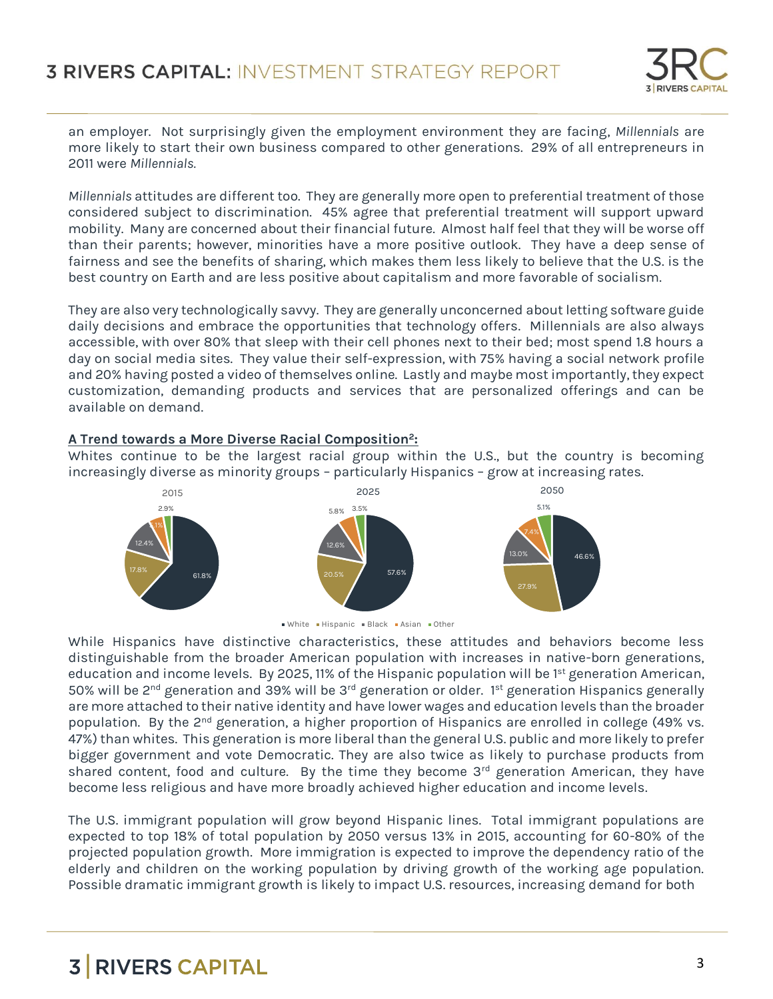

an employer. Not surprisingly given the employment environment they are facing, *Millennials* are more likely to start their own business compared to other generations. 29% of all entrepreneurs in 2011 were *Millennials.*

*Millennials* attitudes are different too. They are generally more open to preferential treatment of those considered subject to discrimination. 45% agree that preferential treatment will support upward mobility. Many are concerned about their financial future. Almost half feel that they will be worse off than their parents; however, minorities have a more positive outlook. They have a deep sense of fairness and see the benefits of sharing, which makes them less likely to believe that the U.S. is the best country on Earth and are less positive about capitalism and more favorable of socialism.

They are also very technologically savvy. They are generally unconcerned about letting software guide daily decisions and embrace the opportunities that technology offers. Millennials are also always accessible, with over 80% that sleep with their cell phones next to their bed; most spend 1.8 hours a day on social media sites. They value their self-expression, with 75% having a social network profile and 20% having posted a video of themselves online. Lastly and maybe most importantly, they expect customization, demanding products and services that are personalized offerings and can be available on demand.

### **A Trend towards a More Diverse Racial Composition<sup>2</sup> :**

Whites continue to be the largest racial group within the U.S., but the country is becoming increasingly diverse as minority groups – particularly Hispanics – grow at increasing rates.





While Hispanics have distinctive characteristics, these attitudes and behaviors become less distinguishable from the broader American population with increases in native-born generations, education and income levels. By 2025, 11% of the Hispanic population will be  $1<sup>st</sup>$  generation American, 50% will be 2<sup>nd</sup> generation and 39% will be 3<sup>rd</sup> generation or older. 1<sup>st</sup> generation Hispanics generally are more attached to their native identity and have lower wages and education levels than the broader population. By the 2<sup>nd</sup> generation, a higher proportion of Hispanics are enrolled in college (49% vs. 47%) than whites. This generation is more liberal than the general U.S. public and more likely to prefer bigger government and vote Democratic. They are also twice as likely to purchase products from shared content, food and culture. By the time they become  $3<sup>rd</sup>$  generation American, they have become less religious and have more broadly achieved higher education and income levels.

The U.S. immigrant population will grow beyond Hispanic lines. Total immigrant populations are expected to top 18% of total population by 2050 versus 13% in 2015, accounting for 60-80% of the projected population growth. More immigration is expected to improve the dependency ratio of the elderly and children on the working population by driving growth of the working age population. Possible dramatic immigrant growth is likely to impact U.S. resources, increasing demand for both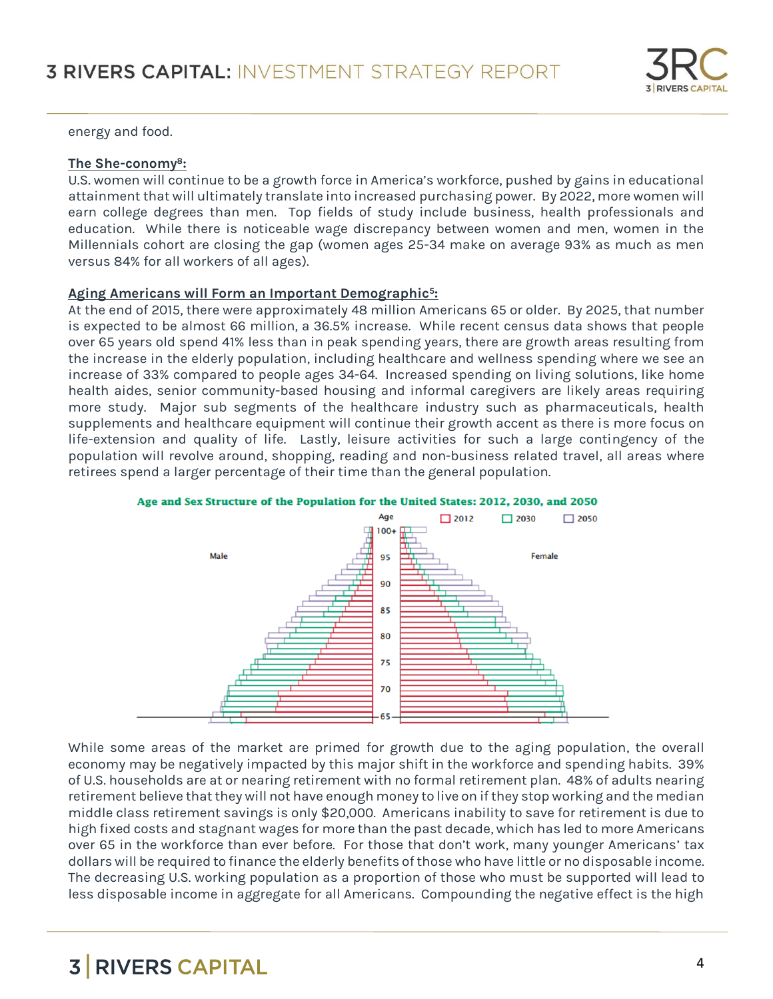

energy and food.

### **The She-conomy<sup>8</sup> :**

U.S. women will continue to be a growth force in America's workforce, pushed by gains in educational attainment that will ultimately translate into increased purchasing power. By 2022, more women will earn college degrees than men. Top fields of study include business, health professionals and education. While there is noticeable wage discrepancy between women and men, women in the Millennials cohort are closing the gap (women ages 25-34 make on average 93% as much as men versus 84% for all workers of all ages).

### **Aging Americans will Form an Important Demographic<sup>5</sup> :**

At the end of 2015, there were approximately 48 million Americans 65 or older. By 2025, that number is expected to be almost 66 million, a 36.5% increase. While recent census data shows that people over 65 years old spend 41% less than in peak spending years, there are growth areas resulting from the increase in the elderly population, including healthcare and wellness spending where we see an increase of 33% compared to people ages 34-64. Increased spending on living solutions, like home health aides, senior community-based housing and informal caregivers are likely areas requiring more study. Major sub segments of the healthcare industry such as pharmaceuticals, health supplements and healthcare equipment will continue their growth accent as there is more focus on life-extension and quality of life. Lastly, leisure activities for such a large contingency of the population will revolve around, shopping, reading and non-business related travel, all areas where retirees spend a larger percentage of their time than the general population.





While some areas of the market are primed for growth due to the aging population, the overall economy may be negatively impacted by this major shift in the workforce and spending habits. 39% of U.S. households are at or nearing retirement with no formal retirement plan. 48% of adults nearing retirement believe that they will not have enough money to live on if they stop working and the median middle class retirement savings is only \$20,000. Americans inability to save for retirement is due to high fixed costs and stagnant wages for more than the past decade, which has led to more Americans over 65 in the workforce than ever before. For those that don't work, many younger Americans' tax dollars will be required to finance the elderly benefits of those who have little or no disposable income. The decreasing U.S. working population as a proportion of those who must be supported will lead to less disposable income in aggregate for all Americans. Compounding the negative effect is the high